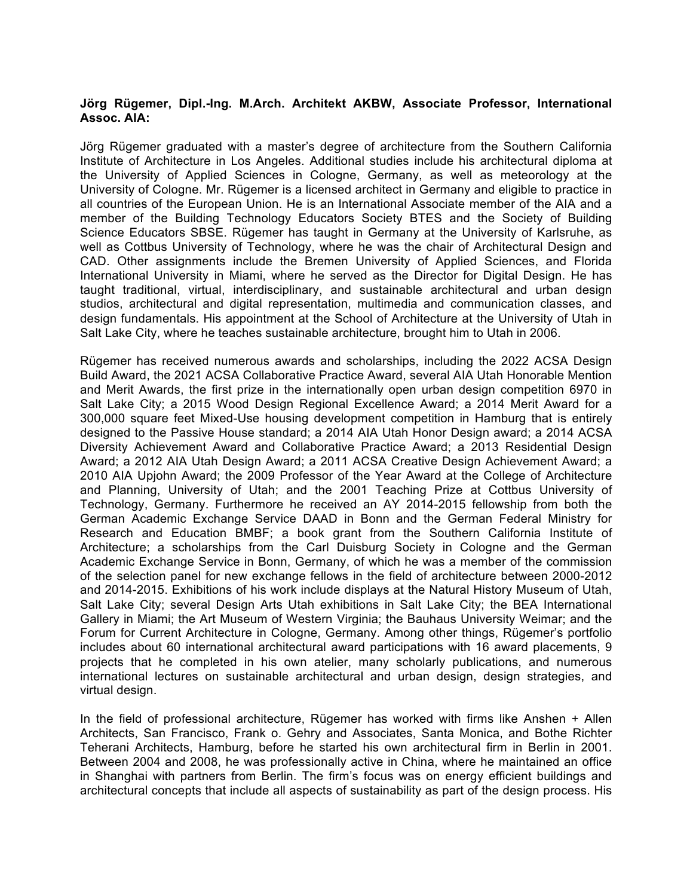## **Jörg Rügemer, Dipl.-Ing. M.Arch. Architekt AKBW, Associate Professor, International Assoc. AIA:**

Jörg Rügemer graduated with a master's degree of architecture from the Southern California Institute of Architecture in Los Angeles. Additional studies include his architectural diploma at the University of Applied Sciences in Cologne, Germany, as well as meteorology at the University of Cologne. Mr. Rügemer is a licensed architect in Germany and eligible to practice in all countries of the European Union. He is an International Associate member of the AIA and a member of the Building Technology Educators Society BTES and the Society of Building Science Educators SBSE. Rügemer has taught in Germany at the University of Karlsruhe, as well as Cottbus University of Technology, where he was the chair of Architectural Design and CAD. Other assignments include the Bremen University of Applied Sciences, and Florida International University in Miami, where he served as the Director for Digital Design. He has taught traditional, virtual, interdisciplinary, and sustainable architectural and urban design studios, architectural and digital representation, multimedia and communication classes, and design fundamentals. His appointment at the School of Architecture at the University of Utah in Salt Lake City, where he teaches sustainable architecture, brought him to Utah in 2006.

Rügemer has received numerous awards and scholarships, including the 2022 ACSA Design Build Award, the 2021 ACSA Collaborative Practice Award, several AIA Utah Honorable Mention and Merit Awards, the first prize in the internationally open urban design competition 6970 in Salt Lake City; a 2015 Wood Design Regional Excellence Award; a 2014 Merit Award for a 300,000 square feet Mixed-Use housing development competition in Hamburg that is entirely designed to the Passive House standard; a 2014 AIA Utah Honor Design award; a 2014 ACSA Diversity Achievement Award and Collaborative Practice Award; a 2013 Residential Design Award; a 2012 AIA Utah Design Award; a 2011 ACSA Creative Design Achievement Award; a 2010 AIA Upjohn Award; the 2009 Professor of the Year Award at the College of Architecture and Planning, University of Utah; and the 2001 Teaching Prize at Cottbus University of Technology, Germany. Furthermore he received an AY 2014-2015 fellowship from both the German Academic Exchange Service DAAD in Bonn and the German Federal Ministry for Research and Education BMBF; a book grant from the Southern California Institute of Architecture; a scholarships from the Carl Duisburg Society in Cologne and the German Academic Exchange Service in Bonn, Germany, of which he was a member of the commission of the selection panel for new exchange fellows in the field of architecture between 2000-2012 and 2014-2015. Exhibitions of his work include displays at the Natural History Museum of Utah, Salt Lake City; several Design Arts Utah exhibitions in Salt Lake City; the BEA International Gallery in Miami; the Art Museum of Western Virginia; the Bauhaus University Weimar; and the Forum for Current Architecture in Cologne, Germany. Among other things, Rügemer's portfolio includes about 60 international architectural award participations with 16 award placements, 9 projects that he completed in his own atelier, many scholarly publications, and numerous international lectures on sustainable architectural and urban design, design strategies, and virtual design.

In the field of professional architecture, Rügemer has worked with firms like Anshen + Allen Architects, San Francisco, Frank o. Gehry and Associates, Santa Monica, and Bothe Richter Teherani Architects, Hamburg, before he started his own architectural firm in Berlin in 2001. Between 2004 and 2008, he was professionally active in China, where he maintained an office in Shanghai with partners from Berlin. The firm's focus was on energy efficient buildings and architectural concepts that include all aspects of sustainability as part of the design process. His